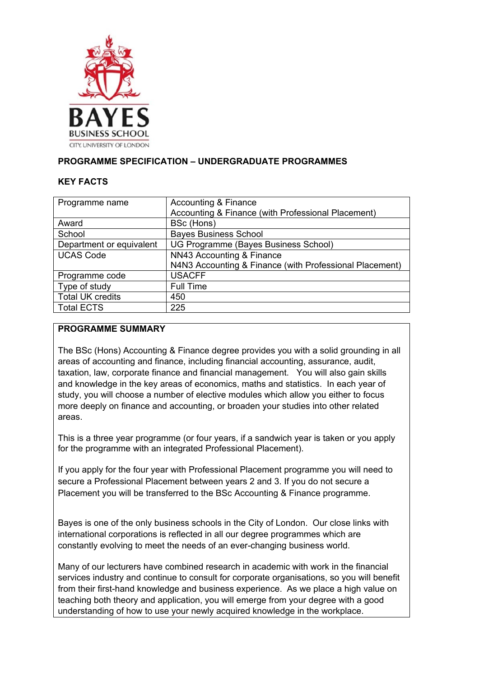

## **PROGRAMME SPECIFICATION – UNDERGRADUATE PROGRAMMES**

### **KEY FACTS**

| Programme name           | Accounting & Finance                                    |
|--------------------------|---------------------------------------------------------|
|                          | Accounting & Finance (with Professional Placement)      |
| Award                    | BSc (Hons)                                              |
| School                   | <b>Bayes Business School</b>                            |
| Department or equivalent | UG Programme (Bayes Business School)                    |
| <b>UCAS Code</b>         | NN43 Accounting & Finance                               |
|                          | N4N3 Accounting & Finance (with Professional Placement) |
| Programme code           | <b>USACFF</b>                                           |
| Type of study            | <b>Full Time</b>                                        |
| <b>Total UK credits</b>  | 450                                                     |
| <b>Total ECTS</b>        | 225                                                     |

### **PROGRAMME SUMMARY**

The BSc (Hons) Accounting & Finance degree provides you with a solid grounding in all areas of accounting and finance, including financial accounting, assurance, audit, taxation, law, corporate finance and financial management. You will also gain skills and knowledge in the key areas of economics, maths and statistics. In each year of study, you will choose a number of elective modules which allow you either to focus more deeply on finance and accounting, or broaden your studies into other related areas.

This is a three year programme (or four years, if a sandwich year is taken or you apply for the programme with an integrated Professional Placement).

If you apply for the four year with Professional Placement programme you will need to secure a Professional Placement between years 2 and 3. If you do not secure a Placement you will be transferred to the BSc Accounting & Finance programme.

Bayes is one of the only business schools in the City of London. Our close links with international corporations is reflected in all our degree programmes which are constantly evolving to meet the needs of an ever-changing business world.

Many of our lecturers have combined research in academic with work in the financial services industry and continue to consult for corporate organisations, so you will benefit from their first-hand knowledge and business experience. As we place a high value on teaching both theory and application, you will emerge from your degree with a good understanding of how to use your newly acquired knowledge in the workplace.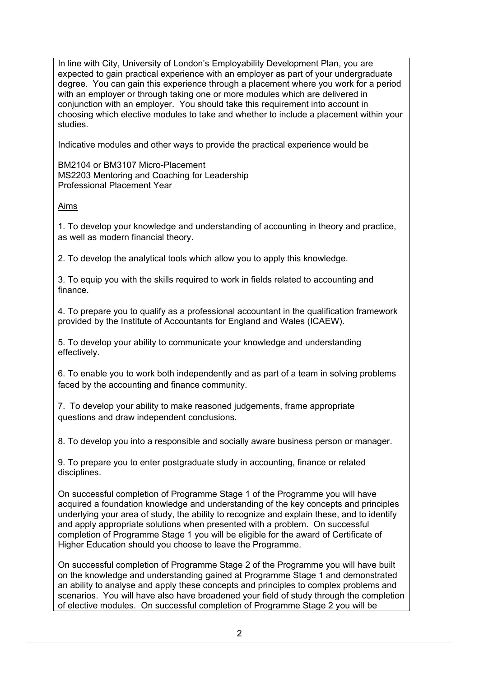In line with City, University of London's Employability Development Plan, you are expected to gain practical experience with an employer as part of your undergraduate degree. You can gain this experience through a placement where you work for a period with an employer or through taking one or more modules which are delivered in conjunction with an employer. You should take this requirement into account in choosing which elective modules to take and whether to include a placement within your studies.

Indicative modules and other ways to provide the practical experience would be

BM2104 or BM3107 Micro-Placement MS2203 Mentoring and Coaching for Leadership Professional Placement Year

Aims

1. To develop your knowledge and understanding of accounting in theory and practice, as well as modern financial theory.

2. To develop the analytical tools which allow you to apply this knowledge.

3. To equip you with the skills required to work in fields related to accounting and finance.

4. To prepare you to qualify as a professional accountant in the qualification framework provided by the Institute of Accountants for England and Wales (ICAEW).

5. To develop your ability to communicate your knowledge and understanding effectively.

6. To enable you to work both independently and as part of a team in solving problems faced by the accounting and finance community.

7. To develop your ability to make reasoned judgements, frame appropriate questions and draw independent conclusions.

8. To develop you into a responsible and socially aware business person or manager.

9. To prepare you to enter postgraduate study in accounting, finance or related disciplines.

On successful completion of Programme Stage 1 of the Programme you will have acquired a foundation knowledge and understanding of the key concepts and principles underlying your area of study, the ability to recognize and explain these, and to identify and apply appropriate solutions when presented with a problem. On successful completion of Programme Stage 1 you will be eligible for the award of Certificate of Higher Education should you choose to leave the Programme.

On successful completion of Programme Stage 2 of the Programme you will have built on the knowledge and understanding gained at Programme Stage 1 and demonstrated an ability to analyse and apply these concepts and principles to complex problems and scenarios. You will have also have broadened your field of study through the completion of elective modules. On successful completion of Programme Stage 2 you will be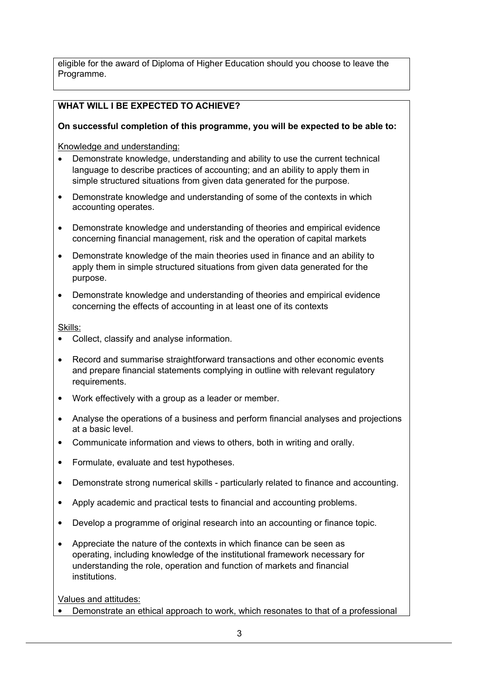eligible for the award of Diploma of Higher Education should you choose to leave the Programme.

# **WHAT WILL I BE EXPECTED TO ACHIEVE?**

# **On successful completion of this programme, you will be expected to be able to:**

Knowledge and understanding:

- Demonstrate knowledge, understanding and ability to use the current technical language to describe practices of accounting; and an ability to apply them in simple structured situations from given data generated for the purpose.
- Demonstrate knowledge and understanding of some of the contexts in which accounting operates.
- Demonstrate knowledge and understanding of theories and empirical evidence concerning financial management, risk and the operation of capital markets
- Demonstrate knowledge of the main theories used in finance and an ability to apply them in simple structured situations from given data generated for the purpose.
- Demonstrate knowledge and understanding of theories and empirical evidence concerning the effects of accounting in at least one of its contexts

Skills:

- Collect, classify and analyse information.
- Record and summarise straightforward transactions and other economic events and prepare financial statements complying in outline with relevant regulatory requirements.
- Work effectively with a group as a leader or member.
- Analyse the operations of a business and perform financial analyses and projections at a basic level.
- Communicate information and views to others, both in writing and orally.
- Formulate, evaluate and test hypotheses.
- Demonstrate strong numerical skills particularly related to finance and accounting.
- Apply academic and practical tests to financial and accounting problems.
- Develop a programme of original research into an accounting or finance topic.
- Appreciate the nature of the contexts in which finance can be seen as operating, including knowledge of the institutional framework necessary for understanding the role, operation and function of markets and financial institutions.

Values and attitudes:

• Demonstrate an ethical approach to work, which resonates to that of a professional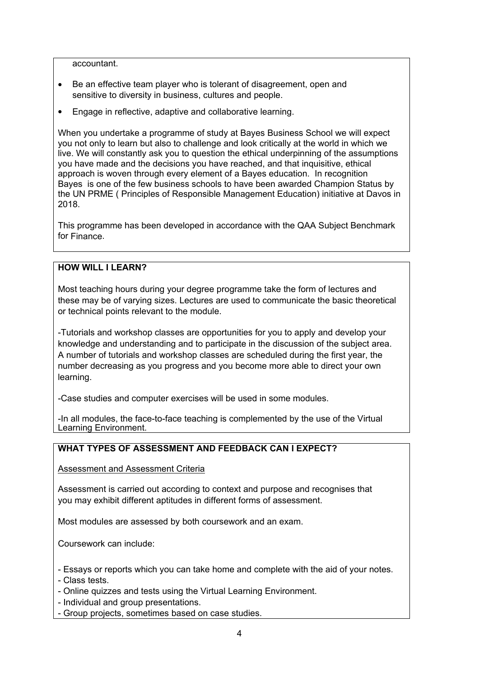accountant.

- Be an effective team player who is tolerant of disagreement, open and sensitive to diversity in business, cultures and people.
- Engage in reflective, adaptive and collaborative learning.

When you undertake a programme of study at Bayes Business School we will expect you not only to learn but also to challenge and look critically at the world in which we live. We will constantly ask you to question the ethical underpinning of the assumptions you have made and the decisions you have reached, and that inquisitive, ethical approach is woven through every element of a Bayes education. In recognition Bayes is one of the few business schools to have been awarded Champion Status by the UN PRME ( Principles of Responsible Management Education) initiative at Davos in 2018.

This programme has been developed in accordance with the QAA Subject Benchmark for Finance.

### **HOW WILL I LEARN?**

Most teaching hours during your degree programme take the form of lectures and these may be of varying sizes. Lectures are used to communicate the basic theoretical or technical points relevant to the module.

-Tutorials and workshop classes are opportunities for you to apply and develop your knowledge and understanding and to participate in the discussion of the subject area. A number of tutorials and workshop classes are scheduled during the first year, the number decreasing as you progress and you become more able to direct your own learning.

-Case studies and computer exercises will be used in some modules.

-In all modules, the face-to-face teaching is complemented by the use of the Virtual Learning Environment.

## **WHAT TYPES OF ASSESSMENT AND FEEDBACK CAN I EXPECT?**

Assessment and Assessment Criteria

Assessment is carried out according to context and purpose and recognises that you may exhibit different aptitudes in different forms of assessment.

Most modules are assessed by both coursework and an exam.

Coursework can include:

- Essays or reports which you can take home and complete with the aid of your notes.

- Class tests.
- Online quizzes and tests using the Virtual Learning Environment.
- Individual and group presentations.
- Group projects, sometimes based on case studies.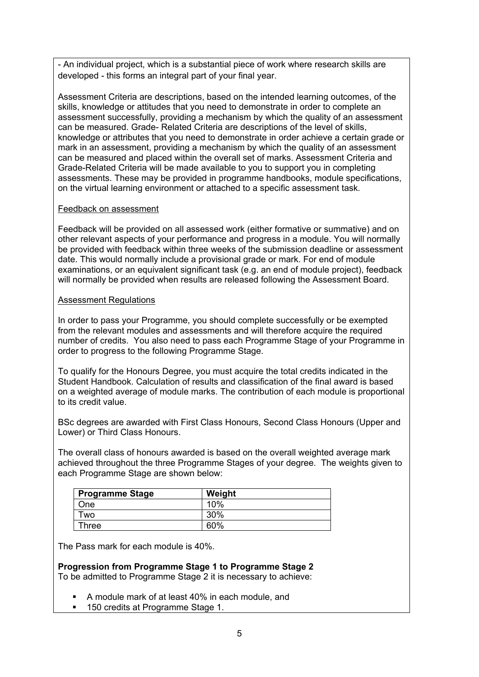- An individual project, which is a substantial piece of work where research skills are developed - this forms an integral part of your final year.

Assessment Criteria are descriptions, based on the intended learning outcomes, of the skills, knowledge or attitudes that you need to demonstrate in order to complete an assessment successfully, providing a mechanism by which the quality of an assessment can be measured. Grade- Related Criteria are descriptions of the level of skills, knowledge or attributes that you need to demonstrate in order achieve a certain grade or mark in an assessment, providing a mechanism by which the quality of an assessment can be measured and placed within the overall set of marks. Assessment Criteria and Grade-Related Criteria will be made available to you to support you in completing assessments. These may be provided in programme handbooks, module specifications, on the virtual learning environment or attached to a specific assessment task*.*

#### Feedback on assessment

Feedback will be provided on all assessed work (either formative or summative) and on other relevant aspects of your performance and progress in a module. You will normally be provided with feedback within three weeks of the submission deadline or assessment date. This would normally include a provisional grade or mark. For end of module examinations, or an equivalent significant task (e.g. an end of module project), feedback will normally be provided when results are released following the Assessment Board.

#### Assessment Regulations

In order to pass your Programme, you should complete successfully or be exempted from the relevant modules and assessments and will therefore acquire the required number of credits. You also need to pass each Programme Stage of your Programme in order to progress to the following Programme Stage.

To qualify for the Honours Degree, you must acquire the total credits indicated in the Student Handbook. Calculation of results and classification of the final award is based on a weighted average of module marks. The contribution of each module is proportional to its credit value.

BSc degrees are awarded with First Class Honours, Second Class Honours (Upper and Lower) or Third Class Honours.

The overall class of honours awarded is based on the overall weighted average mark achieved throughout the three Programme Stages of your degree. The weights given to each Programme Stage are shown below:

| <b>Programme Stage</b> | Weight |
|------------------------|--------|
| One                    | 10%    |
| ™o                     | 30%    |
| <b>Three</b>           | 60%    |

The Pass mark for each module is 40%.

**Progression from Programme Stage 1 to Programme Stage 2** To be admitted to Programme Stage 2 it is necessary to achieve:

- A module mark of at least 40% in each module, and
- 150 credits at Programme Stage 1.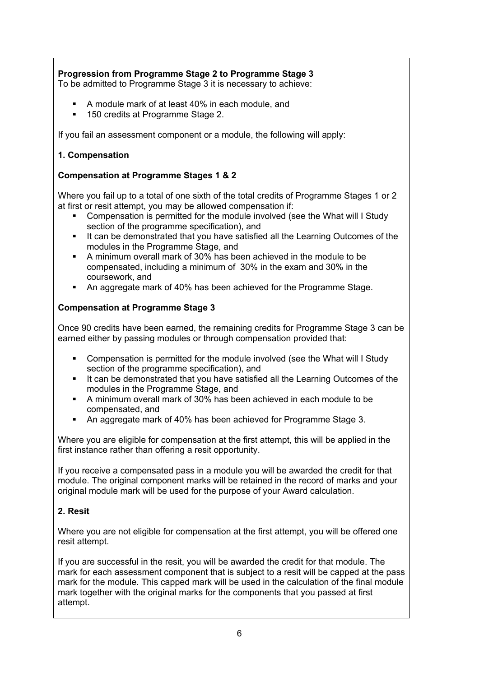# **Progression from Programme Stage 2 to Programme Stage 3**

To be admitted to Programme Stage 3 it is necessary to achieve:

- A module mark of at least 40% in each module, and
- 150 credits at Programme Stage 2.

If you fail an assessment component or a module, the following will apply:

### **1. Compensation**

### **Compensation at Programme Stages 1 & 2**

Where you fail up to a total of one sixth of the total credits of Programme Stages 1 or 2 at first or resit attempt, you may be allowed compensation if:

- Compensation is permitted for the module involved (see the What will I Study section of the programme specification), and
- It can be demonstrated that you have satisfied all the Learning Outcomes of the modules in the Programme Stage, and
- A minimum overall mark of 30% has been achieved in the module to be compensated, including a minimum of 30% in the exam and 30% in the coursework, and
- An aggregate mark of 40% has been achieved for the Programme Stage.

### **Compensation at Programme Stage 3**

Once 90 credits have been earned, the remaining credits for Programme Stage 3 can be earned either by passing modules or through compensation provided that:

- Compensation is permitted for the module involved (see the What will I Study section of the programme specification), and
- It can be demonstrated that you have satisfied all the Learning Outcomes of the modules in the Programme Stage, and
- A minimum overall mark of 30% has been achieved in each module to be compensated, and
- An aggregate mark of 40% has been achieved for Programme Stage 3.

Where you are eligible for compensation at the first attempt, this will be applied in the first instance rather than offering a resit opportunity.

If you receive a compensated pass in a module you will be awarded the credit for that module. The original component marks will be retained in the record of marks and your original module mark will be used for the purpose of your Award calculation.

#### **2. Resit**

Where you are not eligible for compensation at the first attempt, you will be offered one resit attempt.

If you are successful in the resit, you will be awarded the credit for that module. The mark for each assessment component that is subject to a resit will be capped at the pass mark for the module. This capped mark will be used in the calculation of the final module mark together with the original marks for the components that you passed at first attempt.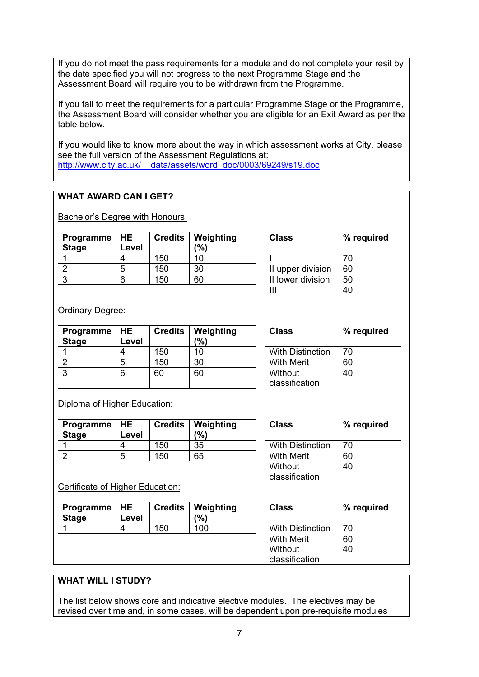If you do not meet the pass requirements for a module and do not complete your resit by the date specified you will not progress to the next Programme Stage and the Assessment Board will require you to be withdrawn from the Programme.

If you fail to meet the requirements for a particular Programme Stage or the Programme, the Assessment Board will consider whether you are eligible for an Exit Award as per the table below.

If you would like to know more about the way in which assessment works at City, please see the full version of the Assessment Regulations at: [http://www.city.ac.uk/\\_\\_data/assets/word\\_doc/0003/69249/s19.doc](http://www.city.ac.uk/__data/assets/word_doc/0003/69249/s19.doc)

#### **WHAT AWARD CAN I GET?**

Bachelor's Degree with Honours:

| Programme   HE<br><b>Stage</b> | Level |     | <b>Credits   Weighting</b><br>$\frac{10}{6}$ | <b>Class</b>      | ℅  |
|--------------------------------|-------|-----|----------------------------------------------|-------------------|----|
|                                |       | 150 | 10                                           |                   | 70 |
|                                | b     | 150 | 30                                           | II upper division | 60 |
|                                |       | 150 | 60                                           | II lower division | 50 |
|                                |       |     |                                              |                   |    |

| Class             | % required |
|-------------------|------------|
|                   | 70         |
| II upper division | 60         |
| II lower division | 50         |
| ш                 |            |

Ordinary Degree:

| Programme $ HE$<br><b>Stage</b> | Level | <b>Credits</b> | Weighting<br>(%) | <b>Class</b>              | $\%$ |
|---------------------------------|-------|----------------|------------------|---------------------------|------|
|                                 | 4     | 150            | 10               | <b>With Distinction</b>   | 70   |
|                                 | 5     | 150            | 30               | <b>With Merit</b>         | 60   |
| ົ                               | 6     | 60             | 60               | Without<br>classification | 40   |

| Class                   | % required |
|-------------------------|------------|
| <b>With Distinction</b> | 70         |
| With Merit              | 60         |
| Without                 | 40         |
| classification          |            |

Diploma of Higher Education:

| Programme   HE<br><b>Stage</b> | Level |     | <b>Credits   Weighting</b><br>$\frac{10}{6}$ | Class                   | %  |
|--------------------------------|-------|-----|----------------------------------------------|-------------------------|----|
|                                |       | 150 | 35                                           | <b>With Distinction</b> | 70 |
|                                | д     | 150 | 65                                           | <b>With Merit</b>       | 60 |

| With Distinction<br>70<br>With Merit<br>60<br>40<br>Without | Class          | % required |
|-------------------------------------------------------------|----------------|------------|
|                                                             | classification |            |

Certificate of Higher Education:

| Programme $ HE$<br><b>Stage</b> | Level | <b>Credits</b> | ∣ Weighting<br>(%) | <b>Class</b>              | % required |
|---------------------------------|-------|----------------|--------------------|---------------------------|------------|
|                                 |       | 150            | 100                | <b>With Distinction</b>   | 70         |
|                                 |       |                |                    | <b>With Merit</b>         | 60         |
|                                 |       |                |                    | Without<br>classification | 40         |

### **WHAT WILL I STUDY?**

The list below shows core and indicative elective modules. The electives may be revised over time and, in some cases, will be dependent upon pre-requisite modules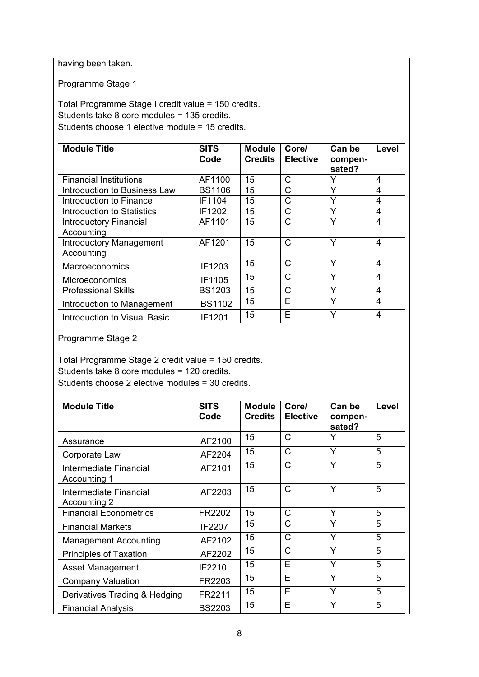having been taken.

Programme Stage 1

Total Programme Stage I credit value = 150 credits. Students take 8 core modules = 135 credits. Students choose 1 elective module = 15 credits.

| <b>Module Title</b>            | <b>SITS</b>   | <b>Module</b>  | Core/           | Can be            | Level          |
|--------------------------------|---------------|----------------|-----------------|-------------------|----------------|
|                                | Code          | <b>Credits</b> | <b>Elective</b> | compen-<br>sated? |                |
| <b>Financial Institutions</b>  | AF1100        | 15             | С               | Y                 | 4              |
| Introduction to Business Law   | <b>BS1106</b> | 15             | Ć               | Y                 | 4              |
| Introduction to Finance        | IF1104        | 15             | C               | Υ                 | 4              |
| Introduction to Statistics     | IF1202        | 15             | С               | Y                 | 4              |
| <b>Introductory Financial</b>  | AF1101        | 15             | C               | Υ                 | 4              |
| Accounting                     |               |                |                 |                   |                |
| <b>Introductory Management</b> | AF1201        | 15             | Ć               | Υ                 | 4              |
| Accounting                     |               |                |                 |                   |                |
| Macroeconomics                 | IF1203        | 15             | C               | Υ                 | $\overline{4}$ |
| <b>Microeconomics</b>          | IF1105        | 15             | C               | Y                 | $\overline{4}$ |
| <b>Professional Skills</b>     | <b>BS1203</b> | 15             | Ć               | Υ                 | 4              |
| Introduction to Management     | <b>BS1102</b> | 15             | E               | Y                 | 4              |
| Introduction to Visual Basic   | IF1201        | 15             | Е               | Υ                 | 4              |

#### Programme Stage 2

Total Programme Stage 2 credit value = 150 credits. Students take 8 core modules = 120 credits. Students choose 2 elective modules = 30 credits.

| <b>Module Title</b>                    | <b>SITS</b><br>Code | <b>Module</b><br><b>Credits</b> | Core/<br><b>Elective</b> | Can be<br>compen-<br>sated? | Level |
|----------------------------------------|---------------------|---------------------------------|--------------------------|-----------------------------|-------|
| Assurance                              | AF2100              | 15                              | $\mathsf{C}$             | Y                           | 5     |
| Corporate Law                          | AF2204              | 15                              | $\mathsf{C}$             | Y                           | 5     |
| Intermediate Financial<br>Accounting 1 | AF2101              | 15                              | C                        | Y                           | 5     |
| Intermediate Financial<br>Accounting 2 | AF2203              | 15                              | $\mathsf{C}$             | Y                           | 5     |
| <b>Financial Econometrics</b>          | FR2202              | 15                              | C                        | Y                           | 5     |
| <b>Financial Markets</b>               | IF2207              | 15                              | C                        | Y                           | 5     |
| <b>Management Accounting</b>           | AF2102              | 15                              | $\mathsf{C}$             | Y                           | 5     |
| <b>Principles of Taxation</b>          | AF2202              | 15                              | $\mathsf{C}$             | Y                           | 5     |
| Asset Management                       | IF2210              | 15                              | E                        | Y                           | 5     |
| <b>Company Valuation</b>               | FR2203              | 15                              | E                        | Y                           | 5     |
| Derivatives Trading & Hedging          | FR2211              | 15                              | E                        | Y                           | 5     |
| <b>Financial Analysis</b>              | <b>BS2203</b>       | 15                              | E                        | Y                           | 5     |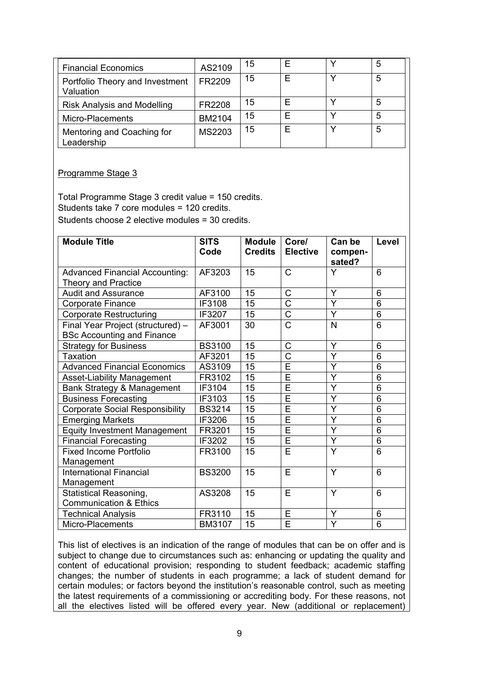| <b>Financial Economics</b>                   | AS2109 | 15 |  | 5 |
|----------------------------------------------|--------|----|--|---|
| Portfolio Theory and Investment<br>Valuation | FR2209 | 15 |  | 5 |
| <b>Risk Analysis and Modelling</b>           | FR2208 | 15 |  | 5 |
| Micro-Placements                             | BM2104 | 15 |  | 5 |
| Mentoring and Coaching for<br>Leadership     | MS2203 | 15 |  | 5 |

#### Programme Stage 3

Total Programme Stage 3 credit value = 150 credits. Students take 7 core modules = 120 credits. Students choose 2 elective modules = 30 credits.

| <b>Module Title</b>                                                    | <b>SITS</b><br>Code | <b>Module</b><br><b>Credits</b> | Core/<br><b>Elective</b> | Can be<br>compen-<br>sated? | Level |
|------------------------------------------------------------------------|---------------------|---------------------------------|--------------------------|-----------------------------|-------|
| <b>Advanced Financial Accounting:</b><br><b>Theory and Practice</b>    | AF3203              | 15                              | $\mathsf{C}$             | Y                           | 6     |
| <b>Audit and Assurance</b>                                             | AF3100              | 15                              | C                        | Y                           | 6     |
| <b>Corporate Finance</b>                                               | IF3108              | 15                              | $\overline{\text{C}}$    | Y                           | 6     |
| <b>Corporate Restructuring</b>                                         | IF3207              | 15                              | C                        | Y                           | 6     |
| Final Year Project (structured) -<br><b>BSc Accounting and Finance</b> | AF3001              | 30                              | $\overline{\text{C}}$    | N                           | 6     |
| <b>Strategy for Business</b>                                           | <b>BS3100</b>       | 15                              | C                        | Y                           | 6     |
| Taxation                                                               | AF3201              | 15                              | $\overline{\text{c}}$    | Ÿ                           | 6     |
| <b>Advanced Financial Economics</b>                                    | AS3109              | 15                              | Ē                        | Y                           | 6     |
| <b>Asset-Liability Management</b>                                      | FR3102              | 15                              | Ē                        | Y                           | 6     |
| Bank Strategy & Management                                             | IF3104              | 15                              | Ē                        | $\overline{Y}$              | 6     |
| <b>Business Forecasting</b>                                            | IF3103              | 15                              | Ē                        | Y                           | 6     |
| <b>Corporate Social Responsibility</b>                                 | <b>BS3214</b>       | 15                              | Ē                        | Y                           | 6     |
| <b>Emerging Markets</b>                                                | IF3206              | 15                              | Ē                        | Y                           | 6     |
| <b>Equity Investment Management</b>                                    | FR3201              | 15                              | $\overline{\sf E}$       | Y                           | 6     |
| <b>Financial Forecasting</b>                                           | IF3202              | 15                              | E                        | Y                           | 6     |
| <b>Fixed Income Portfolio</b><br>Management                            | FR3100              | 15                              | Ē                        | Y                           | 6     |
| <b>International Financial</b><br>Management                           | <b>BS3200</b>       | 15                              | E                        | Y                           | 6     |
| <b>Statistical Reasoning,</b><br><b>Communication &amp; Ethics</b>     | AS3208              | 15                              | E                        | Y                           | 6     |
| <b>Technical Analysis</b>                                              | FR3110              | 15                              | E                        | Y                           | 6     |
| Micro-Placements                                                       | <b>BM3107</b>       | 15                              | Ē                        | Y                           | 6     |

This list of electives is an indication of the range of modules that can be on offer and is subject to change due to circumstances such as: enhancing or updating the quality and content of educational provision; responding to student feedback; academic staffing changes; the number of students in each programme; a lack of student demand for certain modules; or factors beyond the institution's reasonable control, such as meeting the latest requirements of a commissioning or accrediting body. For these reasons, not all the electives listed will be offered every year. New (additional or replacement)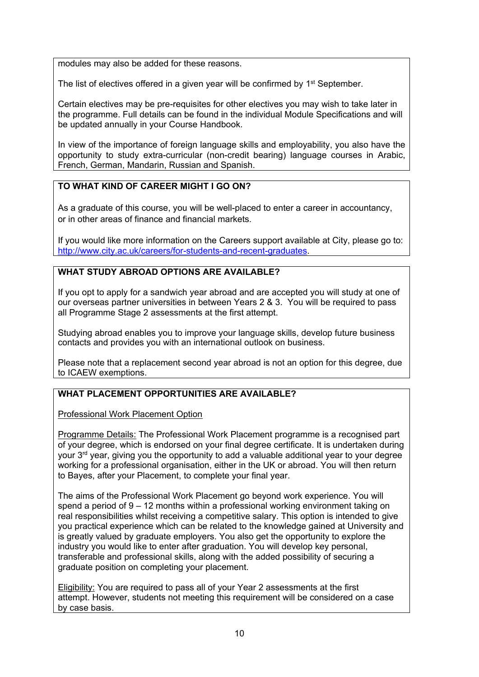modules may also be added for these reasons.

The list of electives offered in a given year will be confirmed by  $1<sup>st</sup>$  September.

Certain electives may be pre-requisites for other electives you may wish to take later in the programme. Full details can be found in the individual Module Specifications and will be updated annually in your Course Handbook.

In view of the importance of foreign language skills and employability, you also have the opportunity to study extra-curricular (non-credit bearing) language courses in Arabic, French, German, Mandarin, Russian and Spanish.

# **TO WHAT KIND OF CAREER MIGHT I GO ON?**

As a graduate of this course, you will be well-placed to enter a career in accountancy, or in other areas of finance and financial markets.

If you would like more information on the Careers support available at City, please go to: [http://www.city.ac.uk/careers/for-students-and-recent-graduates.](http://www.city.ac.uk/careers/for-students-and-recent-graduates)

# **WHAT STUDY ABROAD OPTIONS ARE AVAILABLE?**

If you opt to apply for a sandwich year abroad and are accepted you will study at one of our overseas partner universities in between Years 2 & 3. You will be required to pass all Programme Stage 2 assessments at the first attempt.

Studying abroad enables you to improve your language skills, develop future business contacts and provides you with an international outlook on business.

Please note that a replacement second year abroad is not an option for this degree, due to ICAEW exemptions.

## **WHAT PLACEMENT OPPORTUNITIES ARE AVAILABLE?**

Professional Work Placement Option

Programme Details: The Professional Work Placement programme is a recognised part of your degree, which is endorsed on your final degree certificate. It is undertaken during your 3<sup>rd</sup> year, giving you the opportunity to add a valuable additional year to your degree working for a professional organisation, either in the UK or abroad. You will then return to Bayes, after your Placement, to complete your final year.

The aims of the Professional Work Placement go beyond work experience. You will spend a period of 9 – 12 months within a professional working environment taking on real responsibilities whilst receiving a competitive salary. This option is intended to give you practical experience which can be related to the knowledge gained at University and is greatly valued by graduate employers. You also get the opportunity to explore the industry you would like to enter after graduation. You will develop key personal, transferable and professional skills, along with the added possibility of securing a graduate position on completing your placement.

Eligibility: You are required to pass all of your Year 2 assessments at the first attempt. However, students not meeting this requirement will be considered on a case by case basis.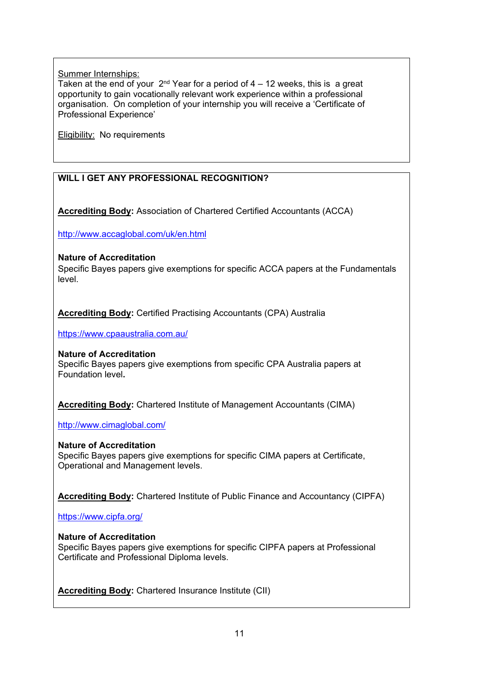**Summer Internships:** 

Taken at the end of your  $2^{nd}$  Year for a period of  $4 - 12$  weeks, this is a great opportunity to gain vocationally relevant work experience within a professional organisation. On completion of your internship you will receive a 'Certificate of Professional Experience'

**Eligibility:** No requirements

# **WILL I GET ANY PROFESSIONAL RECOGNITION?**

**Accrediting Body:** Association of Chartered Certified Accountants (ACCA)

<http://www.accaglobal.com/uk/en.html>

#### **Nature of Accreditation**

Specific Bayes papers give exemptions for specific ACCA papers at the Fundamentals level.

**Accrediting Body:** Certified Practising Accountants (CPA) Australia

<https://www.cpaaustralia.com.au/>

**Nature of Accreditation**

Specific Bayes papers give exemptions from specific CPA Australia papers at Foundation level**.**

**Accrediting Body:** Chartered Institute of Management Accountants (CIMA)

<http://www.cimaglobal.com/>

**Nature of Accreditation** Specific Bayes papers give exemptions for specific CIMA papers at Certificate, Operational and Management levels.

**Accrediting Body:** Chartered Institute of Public Finance and Accountancy (CIPFA)

<https://www.cipfa.org/>

#### **Nature of Accreditation**

Specific Bayes papers give exemptions for specific CIPFA papers at Professional Certificate and Professional Diploma levels.

**Accrediting Body:** Chartered Insurance Institute (CII)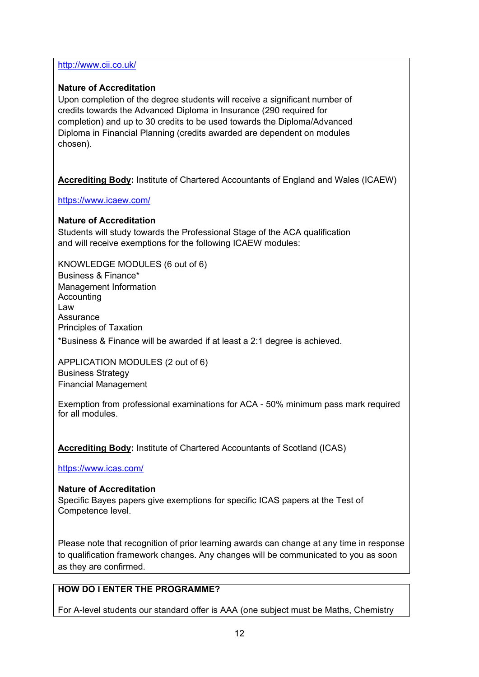<http://www.cii.co.uk/>

### **Nature of Accreditation**

Upon completion of the degree students will receive a significant number of credits towards the Advanced Diploma in Insurance (290 required for completion) and up to 30 credits to be used towards the Diploma/Advanced Diploma in Financial Planning (credits awarded are dependent on modules chosen).

**Accrediting Body:** Institute of Chartered Accountants of England and Wales (ICAEW)

<https://www.icaew.com/>

### **Nature of Accreditation**

Students will study towards the Professional Stage of the ACA qualification and will receive exemptions for the following ICAEW modules:

KNOWLEDGE MODULES (6 out of 6) Business & Finance\* Management Information Accounting Law Assurance Principles of Taxation \*Business & Finance will be awarded if at least a 2:1 degree is achieved.

APPLICATION MODULES (2 out of 6) Business Strategy Financial Management

Exemption from professional examinations for ACA - 50% minimum pass mark required for all modules.

**Accrediting Body:** Institute of Chartered Accountants of Scotland (ICAS)

<https://www.icas.com/>

### **Nature of Accreditation**

Specific Bayes papers give exemptions for specific ICAS papers at the Test of Competence level.

Please note that recognition of prior learning awards can change at any time in response to qualification framework changes. Any changes will be communicated to you as soon as they are confirmed.

# **HOW DO I ENTER THE PROGRAMME?**

For A-level students our standard offer is AAA (one subject must be Maths, Chemistry